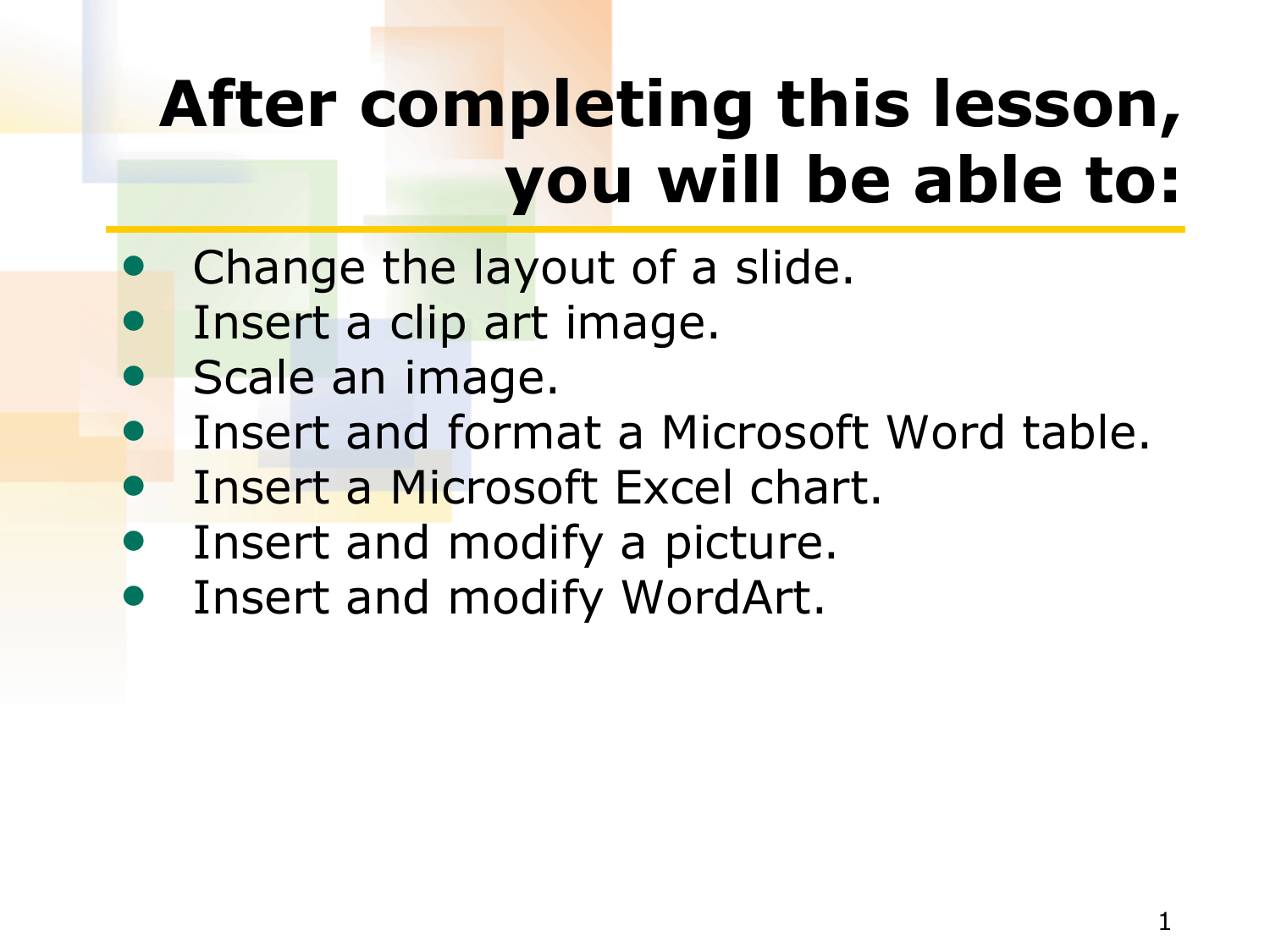# **After completing this lesson, you will be able to:**

- Change the layout of a slide.
- Insert a clip art image.
- Scale an image.
- Insert and format a Microsoft Word table.
- Insert a Microsoft Excel chart.
- Insert and modify a picture.
- Insert and modify WordArt.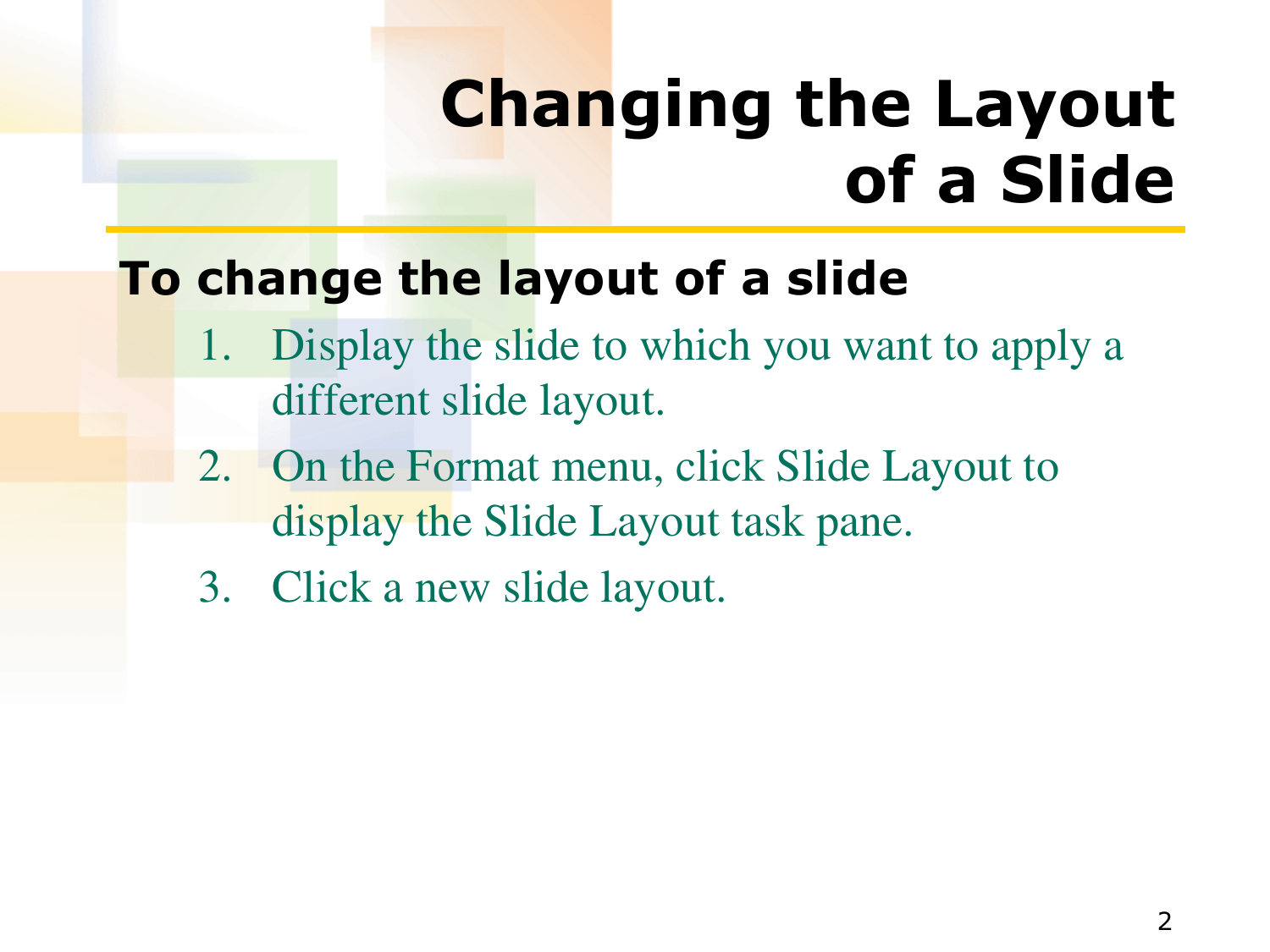## **Changing the Layout of a Slide**

### **To change the layout of a slide**

- 1. Display the slide to which you want to apply a different slide layout.
- 2. On the Format menu, click Slide Layout to display the Slide Layout task pane.
- 3. Click a new slide layout.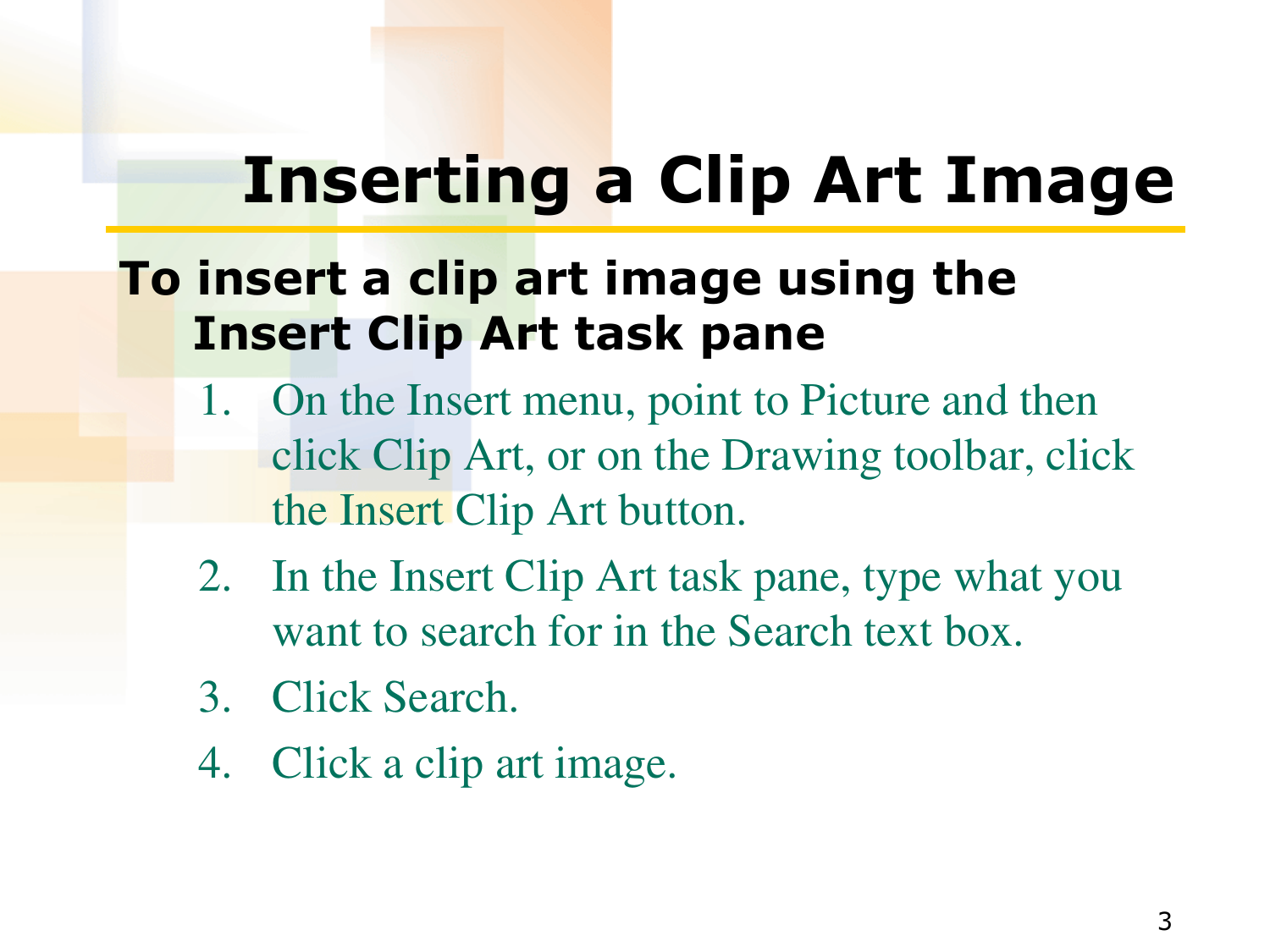## **Inserting a Clip Art Image**

### **To insert a clip art image using the Insert Clip Art task pane**

- 1. On the Insert menu, point to Picture and then click Clip Art, or on the Drawing toolbar, click the Insert Clip Art button.
- 2. In the Insert Clip Art task pane, type what you want to search for in the Search text box.
- 3. Click Search.
- 4. Click a clip art image.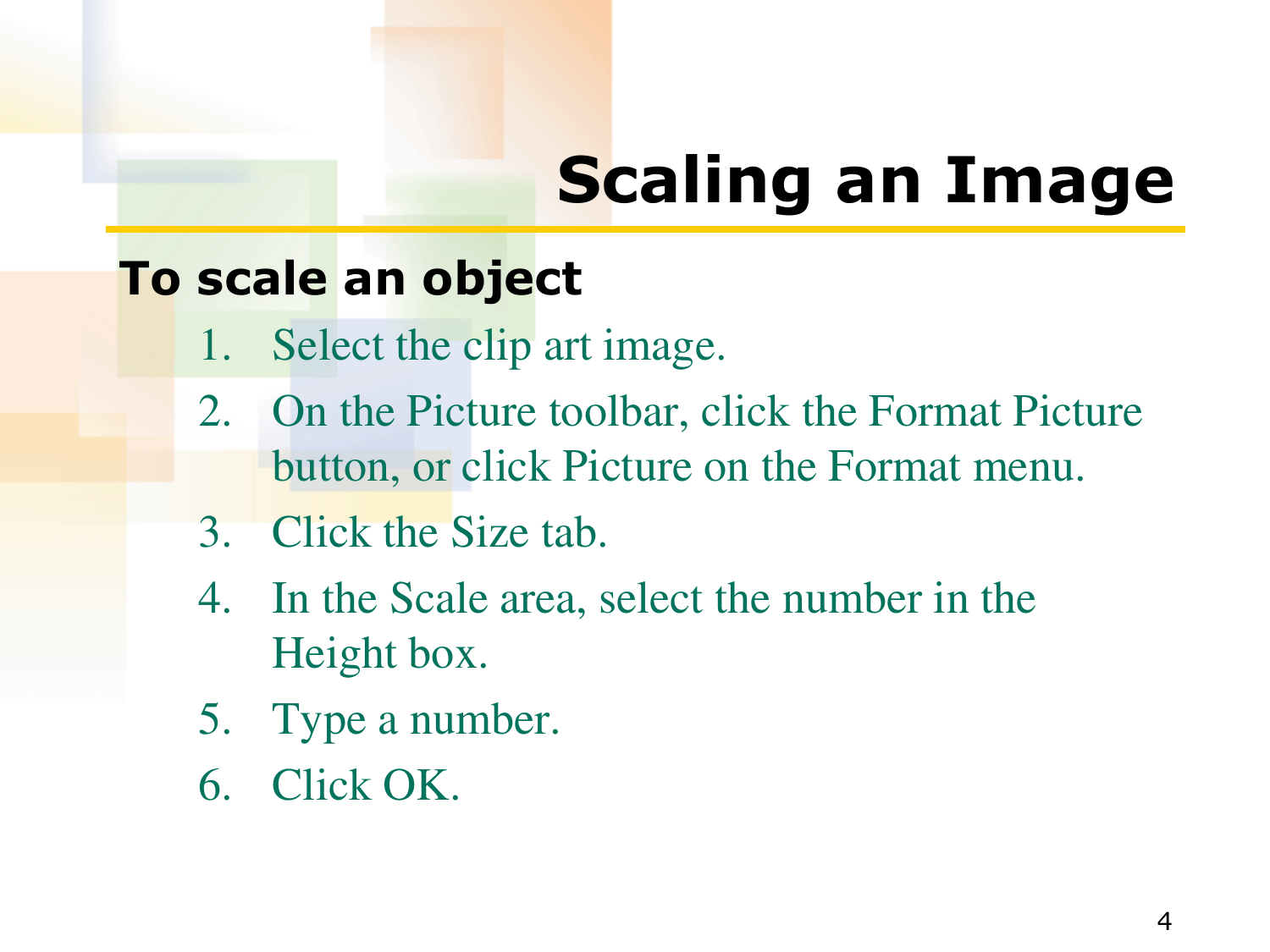# **Scaling an Image**

#### **To scale an object**

- 1. Select the clip art image.
- 2. On the Picture toolbar, click the Format Picture button, or click Picture on the Format menu.
- 3. Click the Size tab.
- 4. In the Scale area, select the number in the Height box.
- 5. Type a number.
- 6. Click OK.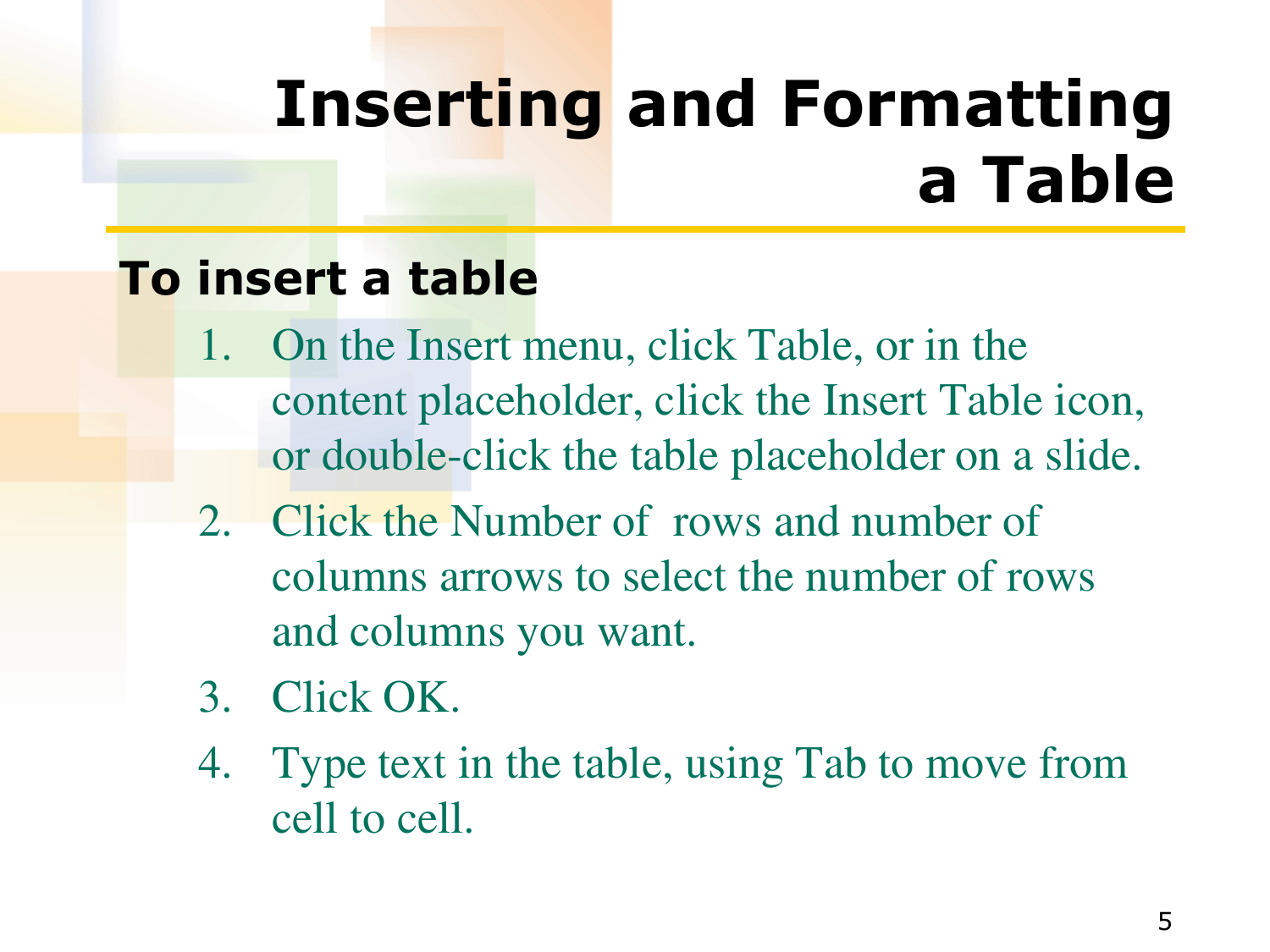## **Inserting and Formatting a Table**

### **To insert a table**

- 1. On the Insert menu, click Table, or in the content placeholder, click the Insert Table icon, or double-click the table placeholder on a slide.
- 2. Click the Number of rows and number of columns arrows to select the number of rows and columns you want.
- 3. Click OK.
- 4. Type text in the table, using Tab to move from cell to cell.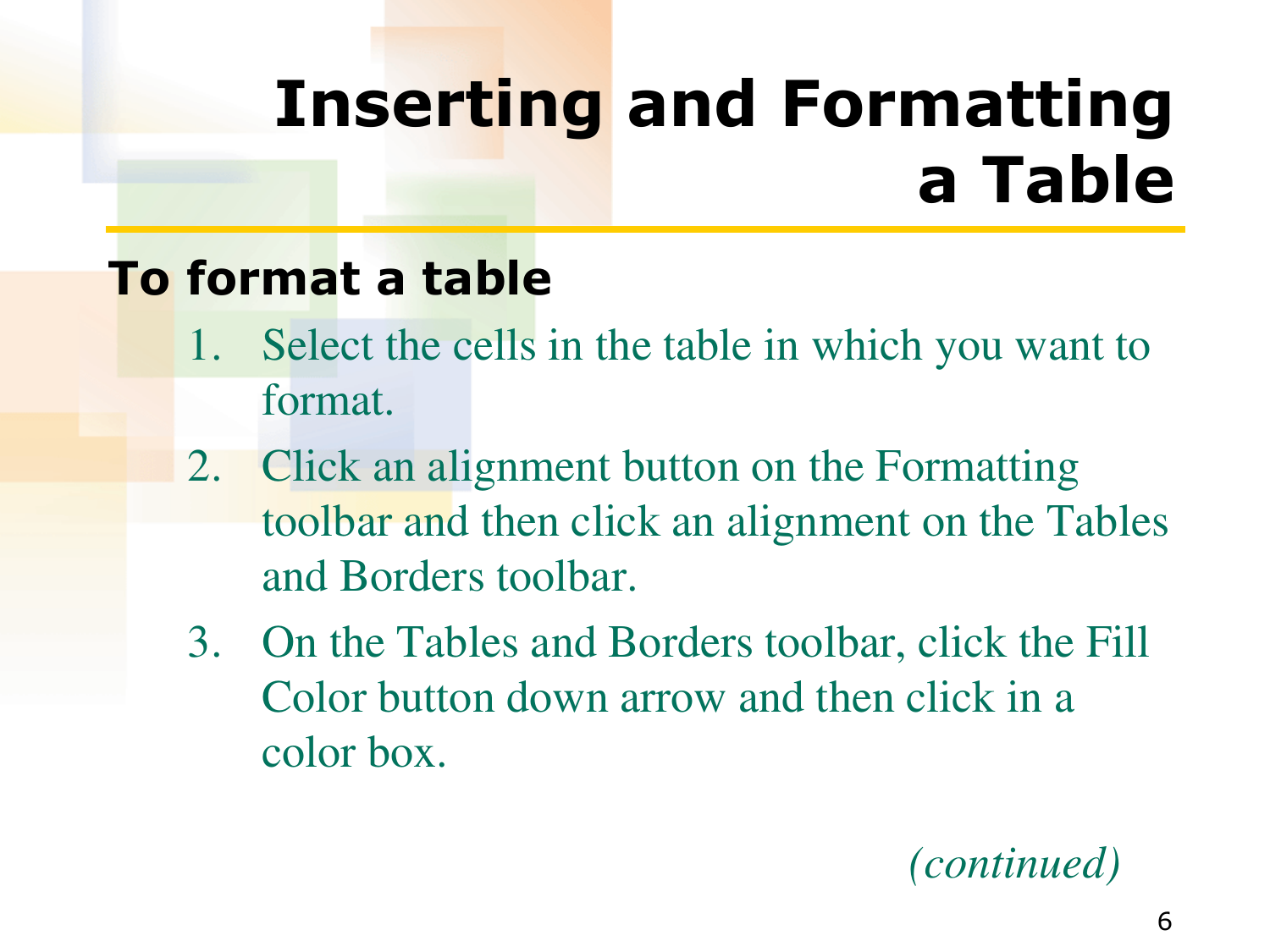## **Inserting and Formatting a Table**

### **To format a table**

- 1. Select the cells in the table in which you want to format.
- 2. Click an alignment button on the Formatting toolbar and then click an alignment on the Tables and Borders toolbar.
- 3. On the Tables and Borders toolbar, click the Fill Color button down arrow and then click in a color box.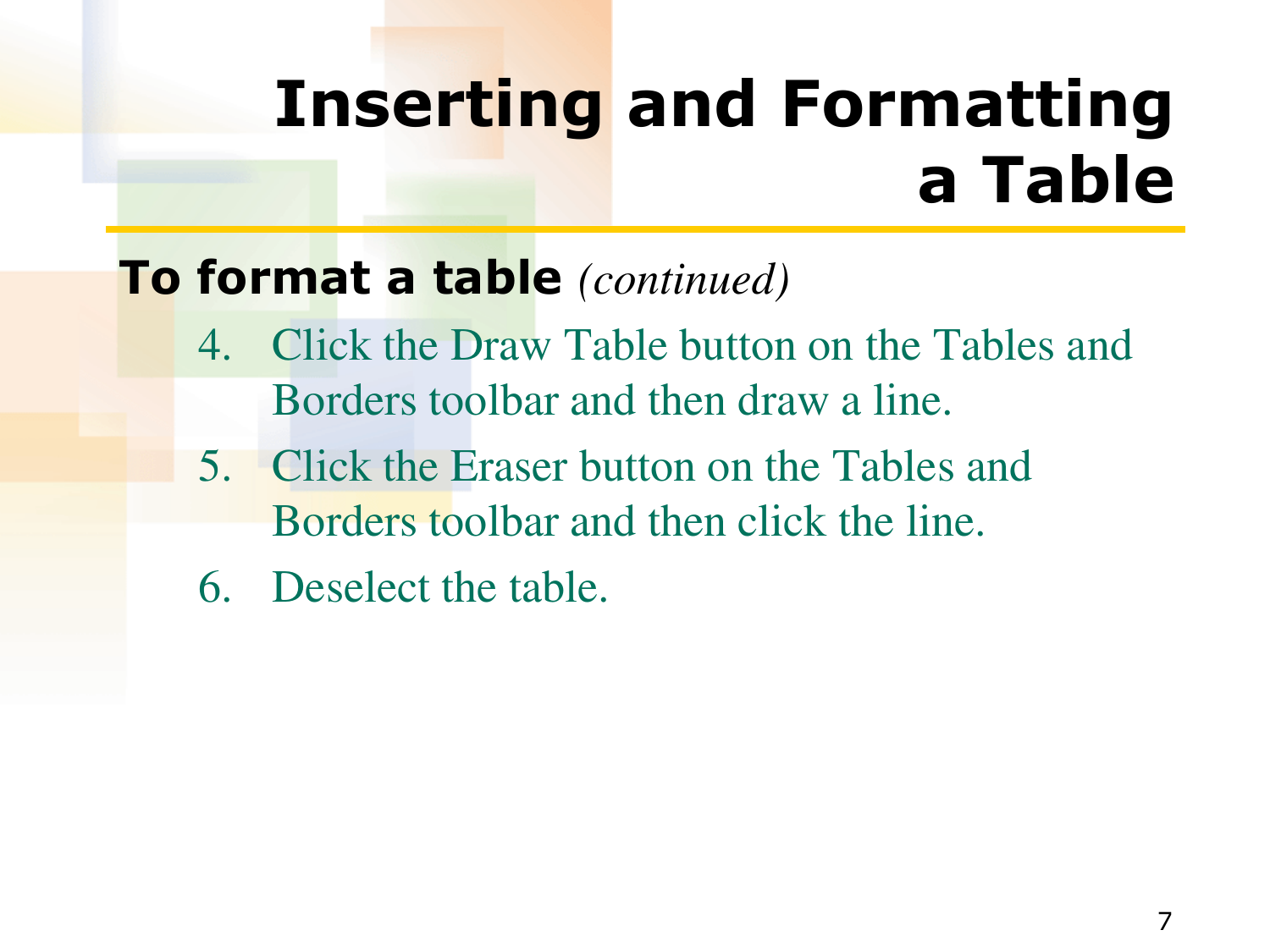## **Inserting and Formatting a Table**

### **To format a table** *(continued)*

- 4. Click the Draw Table button on the Tables and Borders toolbar and then draw a line.
- 5. Click the Eraser button on the Tables and Borders toolbar and then click the line.
- 6. Deselect the table.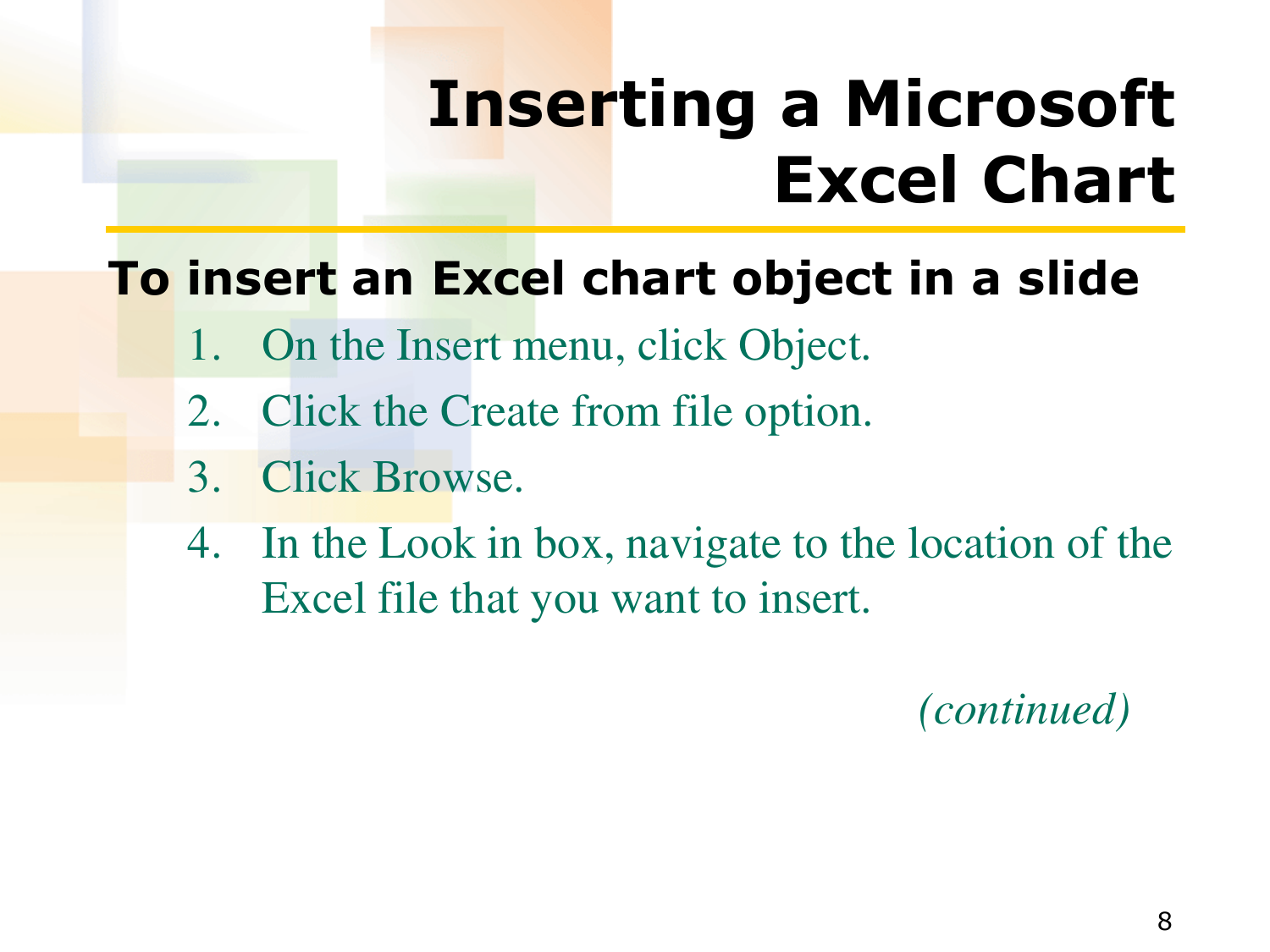## **Inserting a Microsoft Excel Chart**

### **To insert an Excel chart object in a slide**

- 1. On the Insert menu, click Object.
- 2. Click the Create from file option.
- 3. Click Browse.
- 4. In the Look in box, navigate to the location of the Excel file that you want to insert.

 *(continued)*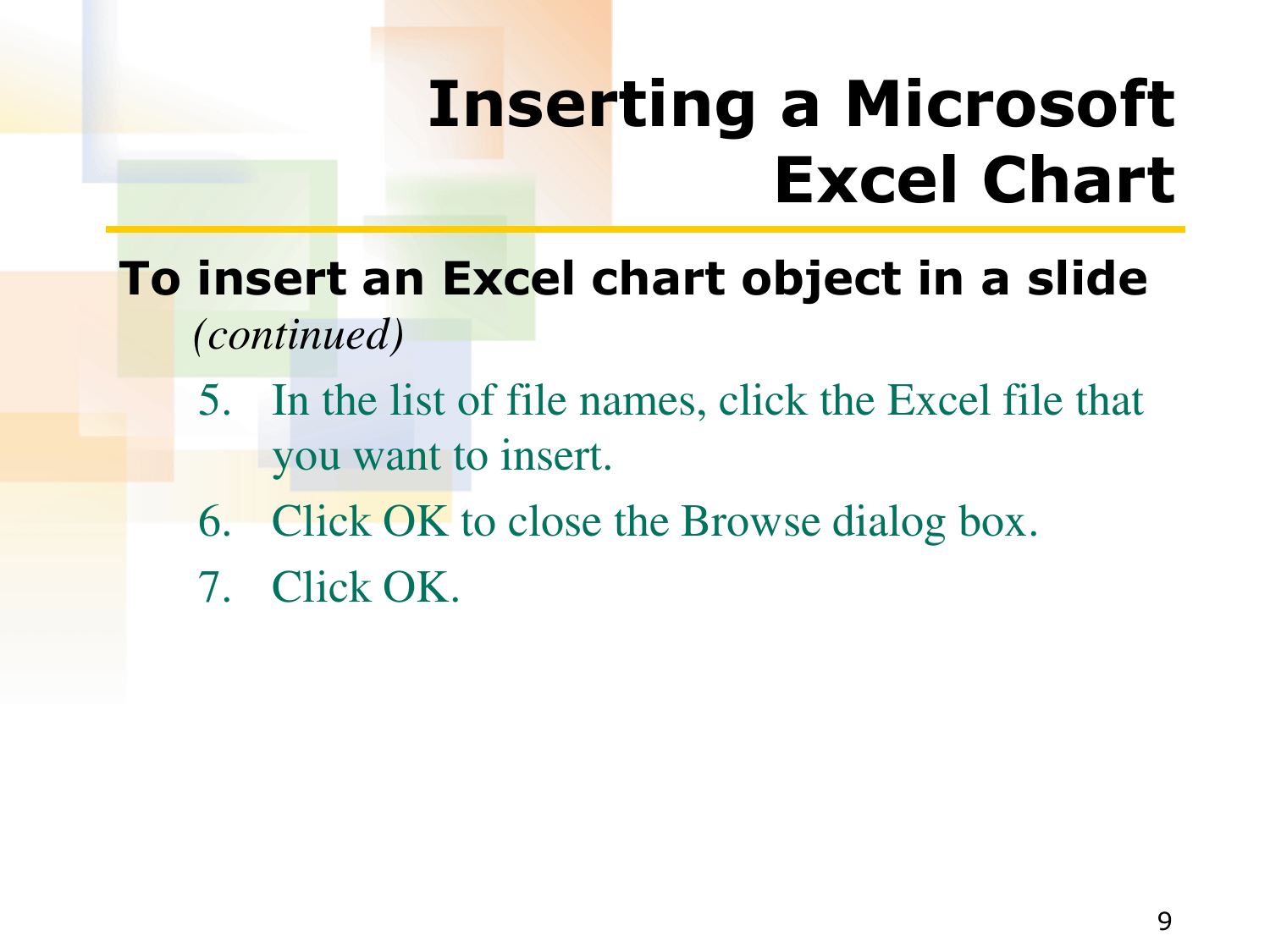## **Inserting a Microsoft Excel Chart**

- **To insert an Excel chart object in a slide**  *(continued)*
	- 5. In the list of file names, click the Excel file that you want to insert.
	- 6. Click OK to close the Browse dialog box.
	- 7. Click OK.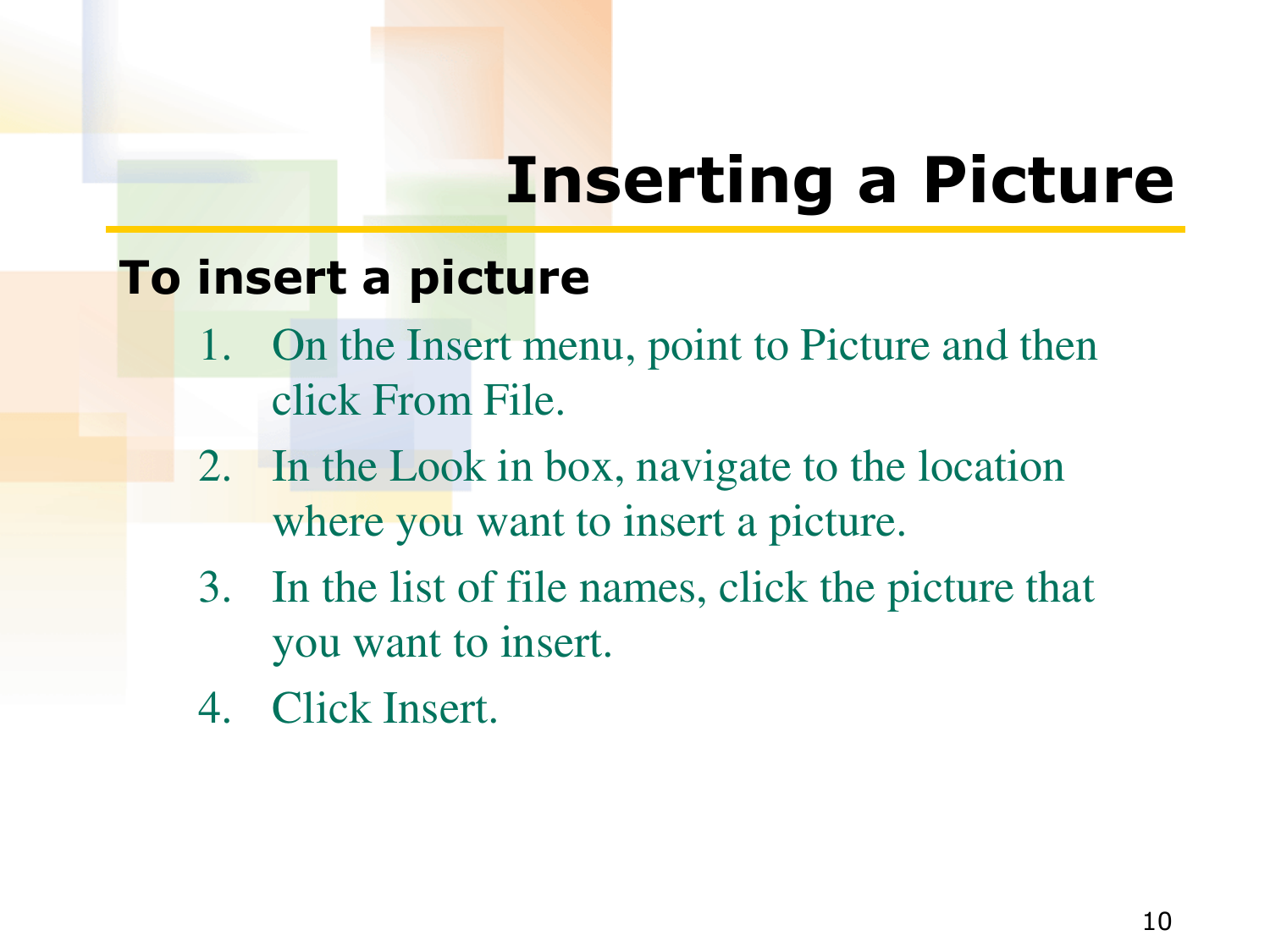# **Inserting a Picture**

#### **To insert a picture**

- 1. On the Insert menu, point to Picture and then click From File.
- 2. In the Look in box, navigate to the location where you want to insert a picture.
- 3. In the list of file names, click the picture that you want to insert.
- 4. Click Insert.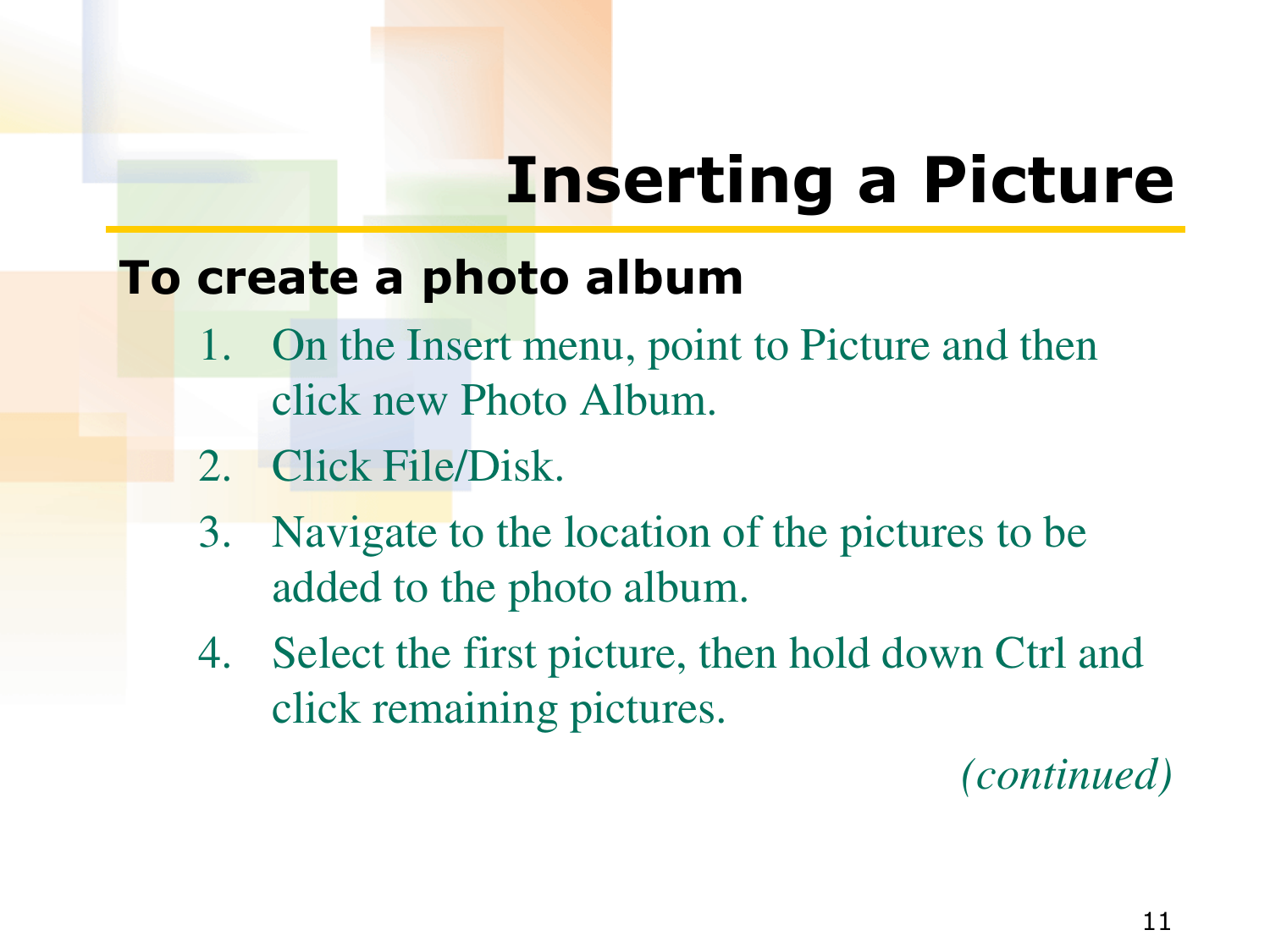# **Inserting a Picture**

### **To create a photo album**

- 1. On the Insert menu, point to Picture and then click new Photo Album.
- 2. Click File/Disk.
- 3. Navigate to the location of the pictures to be added to the photo album.
- 4. Select the first picture, then hold down Ctrl and click remaining pictures.

*(continued)*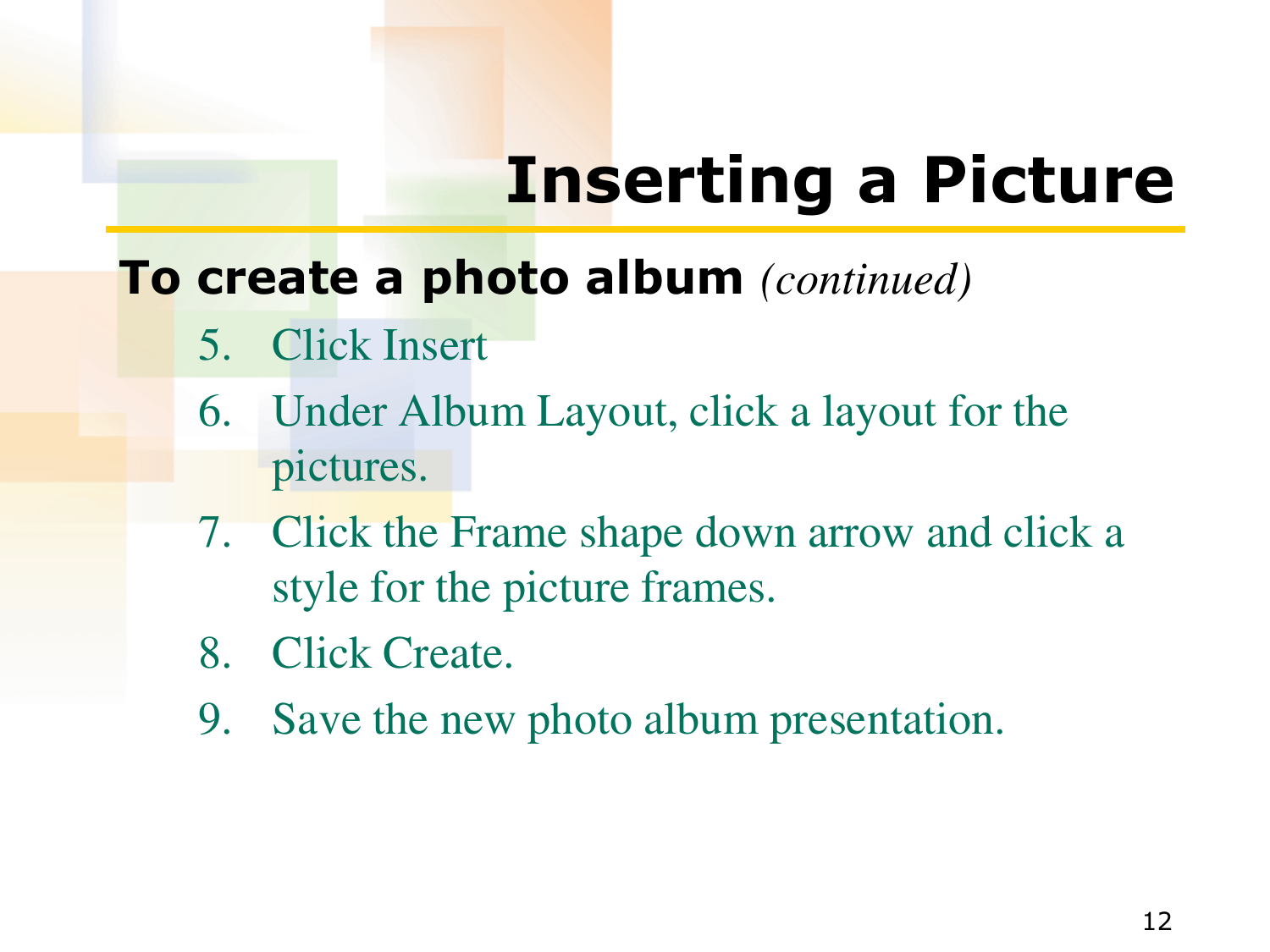# **Inserting a Picture**

### **To create a photo album** *(continued)*

- 5. Click Insert
- 6. Under Album Layout, click a layout for the pictures.
- 7. Click the Frame shape down arrow and click a style for the picture frames.
- 8. Click Create.
- 9. Save the new photo album presentation.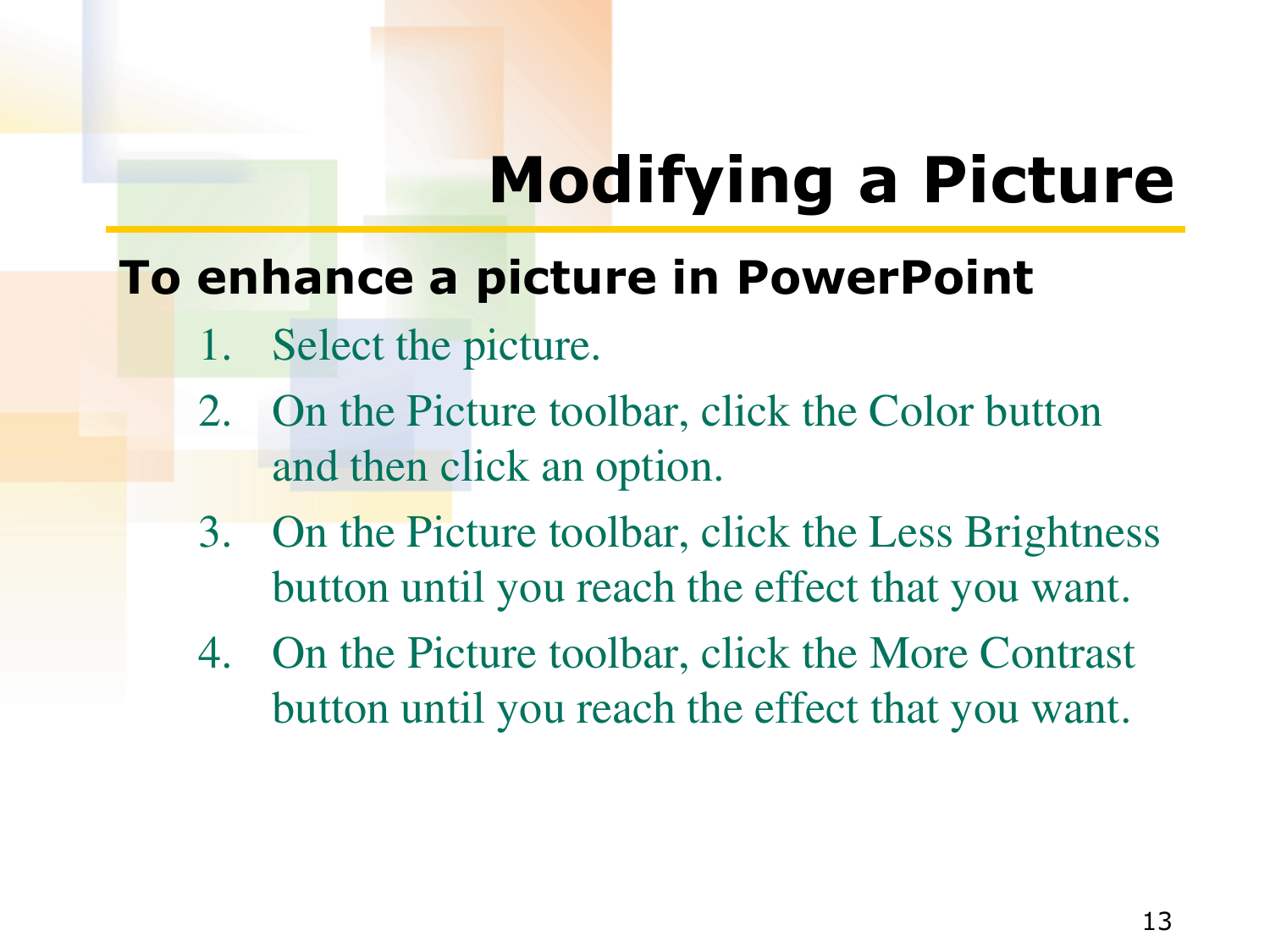# **Modifying a Picture**

### **To enhance a picture in PowerPoint**

- 1. Select the picture.
- 2. On the Picture toolbar, click the Color button and then click an option.
- 3. On the Picture toolbar, click the Less Brightness button until you reach the effect that you want.
- 4. On the Picture toolbar, click the More Contrast button until you reach the effect that you want.